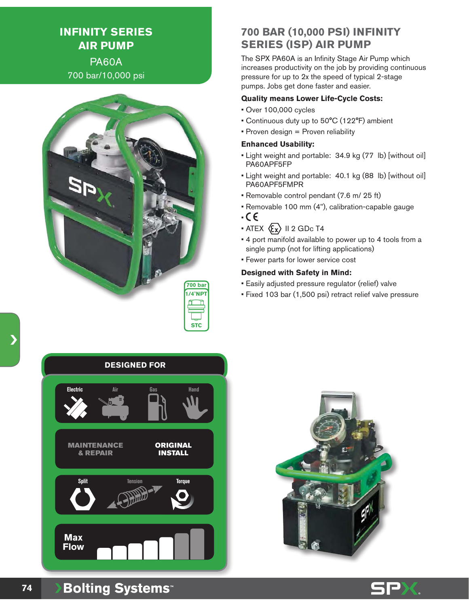# **INFINITY SERIES AIR PUMP** PA60A

700 bar/10,000 psi



# **700 BAR (10,000 PSI) INFINITY SERIES (ISP) AIR PUMP**

The SPX PA60A is an Infinity Stage Air Pump which increases productivity on the job by providing continuous pressure for up to 2x the speed of typical 2-stage pumps. Jobs get done faster and easier.

#### **Quality means Lower Life-Cycle Costs:**

- Over 100,000 cycles
- Continuous duty up to 50°C (122°F) ambient
- Proven design = Proven reliability

#### **Enhanced Usability:**

- Light weight and portable: 34.9 kg (77 lb) [without oil] PA60APF5FP
- Light weight and portable: 40.1 kg (88 lb) [without oil] PA60APF5FMPR
- Removable control pendant (7.6 m/ 25 ft)
- Removable 100 mm (4"), calibration-capable gauge
- •
- ATEX  $\langle \xi_x \rangle$  II 2 GDc T4
- 4 port manifold available to power up to 4 tools from a single pump (not for lifting applications)
- Fewer parts for lower service cost

#### **Designed with Safety in Mind:**

- Easily adjusted pressure regulator (relief) valve
- Fixed 103 bar (1,500 psi) retract relief valve pressure